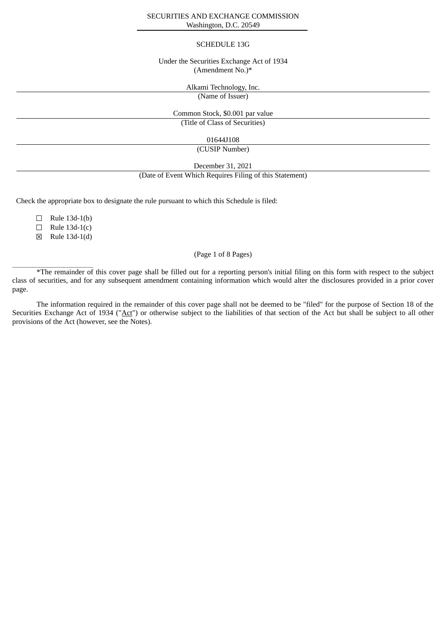#### SECURITIES AND EXCHANGE COMMISSION Washington, D.C. 20549

### SCHEDULE 13G

## Under the Securities Exchange Act of 1934 (Amendment No.)\*

Alkami Technology, Inc.

(Name of Issuer)

Common Stock, \$0.001 par value (Title of Class of Securities)

01644J108

(CUSIP Number)

December 31, 2021

(Date of Event Which Requires Filing of this Statement)

Check the appropriate box to designate the rule pursuant to which this Schedule is filed:

 $\Box$  Rule 13d-1(b)

 $\Box$  Rule 13d-1(c)

☒ Rule 13d-1(d)

 $\overline{\phantom{a}}$  ,  $\overline{\phantom{a}}$  ,  $\overline{\phantom{a}}$  ,  $\overline{\phantom{a}}$  ,  $\overline{\phantom{a}}$  ,  $\overline{\phantom{a}}$  ,  $\overline{\phantom{a}}$  ,  $\overline{\phantom{a}}$  ,  $\overline{\phantom{a}}$  ,  $\overline{\phantom{a}}$  ,  $\overline{\phantom{a}}$  ,  $\overline{\phantom{a}}$  ,  $\overline{\phantom{a}}$  ,  $\overline{\phantom{a}}$  ,  $\overline{\phantom{a}}$  ,  $\overline{\phantom{a}}$ 

# (Page 1 of 8 Pages)

\*The remainder of this cover page shall be filled out for a reporting person's initial filing on this form with respect to the subject class of securities, and for any subsequent amendment containing information which would alter the disclosures provided in a prior cover page.

The information required in the remainder of this cover page shall not be deemed to be "filed" for the purpose of Section 18 of the Securities Exchange Act of 1934 ("Act") or otherwise subject to the liabilities of that section of the Act but shall be subject to all other provisions of the Act (however, see the Notes).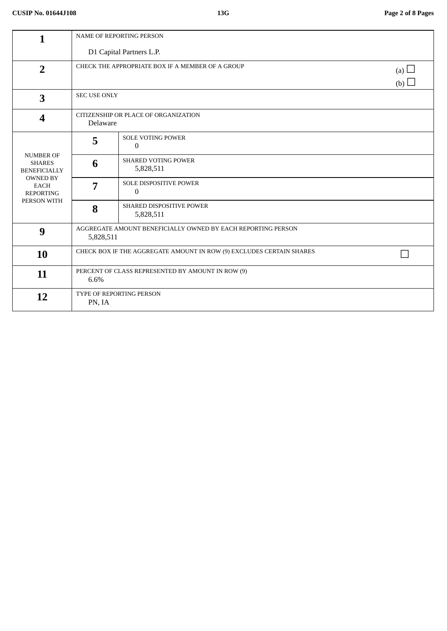| 1                                                                                                                             | <b>NAME OF REPORTING PERSON</b>                                           |                                         |  |  |  |
|-------------------------------------------------------------------------------------------------------------------------------|---------------------------------------------------------------------------|-----------------------------------------|--|--|--|
|                                                                                                                               | D1 Capital Partners L.P.                                                  |                                         |  |  |  |
| $\overline{2}$                                                                                                                | CHECK THE APPROPRIATE BOX IF A MEMBER OF A GROUP<br>(a) $\Box$<br>(b)     |                                         |  |  |  |
| $\overline{\mathbf{3}}$                                                                                                       | <b>SEC USE ONLY</b>                                                       |                                         |  |  |  |
| 4                                                                                                                             | CITIZENSHIP OR PLACE OF ORGANIZATION<br>Delaware                          |                                         |  |  |  |
| <b>NUMBER OF</b><br><b>SHARES</b><br><b>BENEFICIALLY</b><br><b>OWNED BY</b><br><b>EACH</b><br><b>REPORTING</b><br>PERSON WITH | 5                                                                         | SOLE VOTING POWER<br>$\Omega$           |  |  |  |
|                                                                                                                               | 6                                                                         | <b>SHARED VOTING POWER</b><br>5,828,511 |  |  |  |
|                                                                                                                               | 7                                                                         | SOLE DISPOSITIVE POWER<br>$\Omega$      |  |  |  |
|                                                                                                                               | 8                                                                         | SHARED DISPOSITIVE POWER<br>5,828,511   |  |  |  |
| 9                                                                                                                             | AGGREGATE AMOUNT BENEFICIALLY OWNED BY EACH REPORTING PERSON<br>5,828,511 |                                         |  |  |  |
| <b>10</b>                                                                                                                     | CHECK BOX IF THE AGGREGATE AMOUNT IN ROW (9) EXCLUDES CERTAIN SHARES      |                                         |  |  |  |
| 11                                                                                                                            | PERCENT OF CLASS REPRESENTED BY AMOUNT IN ROW (9)<br>6.6%                 |                                         |  |  |  |
| 12                                                                                                                            | TYPE OF REPORTING PERSON<br>PN, IA                                        |                                         |  |  |  |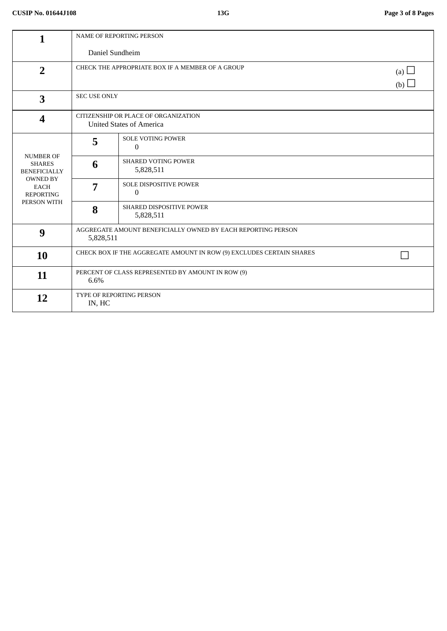| 1                                                                                                                             | <b>NAME OF REPORTING PERSON</b>                                              |                                         |  |  |  |
|-------------------------------------------------------------------------------------------------------------------------------|------------------------------------------------------------------------------|-----------------------------------------|--|--|--|
|                                                                                                                               | Daniel Sundheim                                                              |                                         |  |  |  |
| $\overline{2}$                                                                                                                | CHECK THE APPROPRIATE BOX IF A MEMBER OF A GROUP<br>(a) $\Box$<br>(b) $\Box$ |                                         |  |  |  |
| $\overline{\mathbf{3}}$                                                                                                       | <b>SEC USE ONLY</b>                                                          |                                         |  |  |  |
| $\boldsymbol{4}$                                                                                                              | CITIZENSHIP OR PLACE OF ORGANIZATION<br><b>United States of America</b>      |                                         |  |  |  |
| <b>NUMBER OF</b><br><b>SHARES</b><br><b>BENEFICIALLY</b><br><b>OWNED BY</b><br><b>EACH</b><br><b>REPORTING</b><br>PERSON WITH | 5                                                                            | <b>SOLE VOTING POWER</b><br>$\Omega$    |  |  |  |
|                                                                                                                               | 6                                                                            | <b>SHARED VOTING POWER</b><br>5,828,511 |  |  |  |
|                                                                                                                               | 7                                                                            | SOLE DISPOSITIVE POWER<br>$\mathbf{0}$  |  |  |  |
|                                                                                                                               | 8                                                                            | SHARED DISPOSITIVE POWER<br>5,828,511   |  |  |  |
| 9                                                                                                                             | AGGREGATE AMOUNT BENEFICIALLY OWNED BY EACH REPORTING PERSON<br>5,828,511    |                                         |  |  |  |
| 10                                                                                                                            | CHECK BOX IF THE AGGREGATE AMOUNT IN ROW (9) EXCLUDES CERTAIN SHARES         |                                         |  |  |  |
| 11                                                                                                                            | PERCENT OF CLASS REPRESENTED BY AMOUNT IN ROW (9)<br>6.6%                    |                                         |  |  |  |
| 12                                                                                                                            | TYPE OF REPORTING PERSON<br>IN, HC                                           |                                         |  |  |  |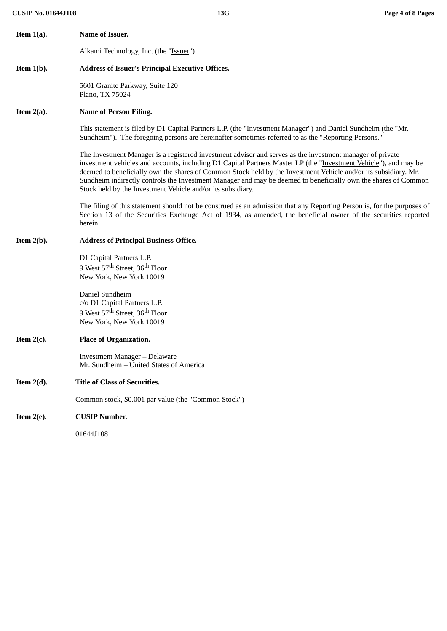Alkami Technology, Inc. (the "Issuer")

## **Item 1(b). Address of Issuer's Principal Executive Offices.**

5601 Granite Parkway, Suite 120 Plano, TX 75024

# **Item 2(a). Name of Person Filing.**

**Item 1(a). Name of Issuer.**

This statement is filed by D1 Capital Partners L.P. (the "Investment Manager") and Daniel Sundheim (the "Mr. Sundheim"). The foregoing persons are hereinafter sometimes referred to as the "Reporting Persons."

The Investment Manager is a registered investment adviser and serves as the investment manager of private investment vehicles and accounts, including D1 Capital Partners Master LP (the "Investment Vehicle"), and may be deemed to beneficially own the shares of Common Stock held by the Investment Vehicle and/or its subsidiary. Mr. Sundheim indirectly controls the Investment Manager and may be deemed to beneficially own the shares of Common Stock held by the Investment Vehicle and/or its subsidiary.

The filing of this statement should not be construed as an admission that any Reporting Person is, for the purposes of Section 13 of the Securities Exchange Act of 1934, as amended, the beneficial owner of the securities reported herein.

### **Item 2(b). Address of Principal Business Office.**

D1 Capital Partners L.P. 9 West 57<sup>th</sup> Street, 36<sup>th</sup> Floor New York, New York 10019

Daniel Sundheim c/o D1 Capital Partners L.P. 9 West 57<sup>th</sup> Street, 36<sup>th</sup> Floor New York, New York 10019

# **Item 2(c). Place of Organization.**

Investment Manager – Delaware Mr. Sundheim – United States of America

#### **Item 2(d). Title of Class of Securities.**

Common stock, \$0.001 par value (the "Common Stock")

# **Item 2(e). CUSIP Number.**

01644J108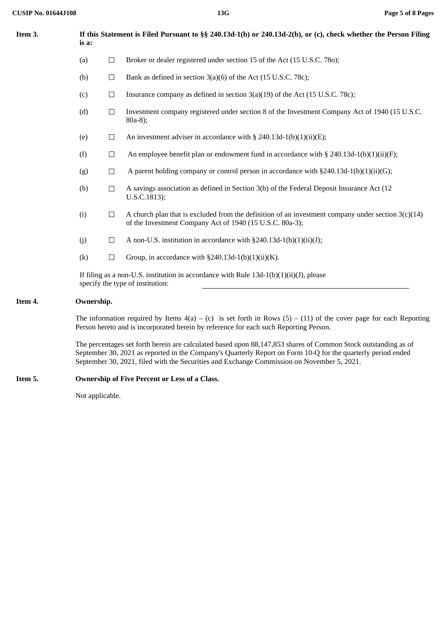| Item 3. | If this Statement is Filed Pursuant to §§ 240.13d-1(b) or 240.13d-2(b), or (c), check whether the Person Filing<br>is a:                                                                                                                                                                                                     |        |                                                                                                                                                                  |  |  |
|---------|------------------------------------------------------------------------------------------------------------------------------------------------------------------------------------------------------------------------------------------------------------------------------------------------------------------------------|--------|------------------------------------------------------------------------------------------------------------------------------------------------------------------|--|--|
|         | (a)                                                                                                                                                                                                                                                                                                                          | $\Box$ | Broker or dealer registered under section 15 of the Act (15 U.S.C. 780);                                                                                         |  |  |
|         | (b)                                                                                                                                                                                                                                                                                                                          | $\Box$ | Bank as defined in section 3(a)(6) of the Act (15 U.S.C. 78c);                                                                                                   |  |  |
|         | (c)                                                                                                                                                                                                                                                                                                                          | $\Box$ | Insurance company as defined in section 3(a)(19) of the Act (15 U.S.C. 78c);                                                                                     |  |  |
|         | (d)                                                                                                                                                                                                                                                                                                                          | $\Box$ | Investment company registered under section 8 of the Investment Company Act of 1940 (15 U.S.C.<br>$80a-8$ );                                                     |  |  |
|         | (e)                                                                                                                                                                                                                                                                                                                          | $\Box$ | An investment adviser in accordance with $\S$ 240.13d-1(b)(1)(ii)(E);                                                                                            |  |  |
|         | (f)                                                                                                                                                                                                                                                                                                                          | $\Box$ | An employee benefit plan or endowment fund in accordance with $\S$ 240.13d-1(b)(1)(ii)(F);                                                                       |  |  |
|         | (g)                                                                                                                                                                                                                                                                                                                          | $\Box$ | A parent holding company or control person in accordance with $\S 240.13d-1(b)(1)(ii)(G);$                                                                       |  |  |
|         | (h)                                                                                                                                                                                                                                                                                                                          | $\Box$ | A savings association as defined in Section 3(b) of the Federal Deposit Insurance Act (12<br>U.S.C.1813);                                                        |  |  |
|         | (i)                                                                                                                                                                                                                                                                                                                          | $\Box$ | A church plan that is excluded from the definition of an investment company under section $3(c)(14)$<br>of the Investment Company Act of 1940 (15 U.S.C. 80a-3); |  |  |
|         | (j)                                                                                                                                                                                                                                                                                                                          | $\Box$ | A non-U.S. institution in accordance with $\S 240.13d-1(b)(1)(ii)(J);$                                                                                           |  |  |
|         | (k)                                                                                                                                                                                                                                                                                                                          | $\Box$ | Group, in accordance with $\S 240.13d-1(b)(1)(ii)(K)$ .                                                                                                          |  |  |
|         | If filing as a non-U.S. institution in accordance with Rule $13d-1(b)(1)(ii)(J)$ , please<br>specify the type of institution:                                                                                                                                                                                                |        |                                                                                                                                                                  |  |  |
| Item 4. | Ownership.                                                                                                                                                                                                                                                                                                                   |        |                                                                                                                                                                  |  |  |
|         | The information required by Items $4(a) - (c)$ is set forth in Rows $(5) - (11)$ of the cover page for each Reporting<br>Person hereto and is incorporated herein by reference for each such Reporting Person.                                                                                                               |        |                                                                                                                                                                  |  |  |
|         | The percentages set forth herein are calculated based upon 88,147,853 shares of Common Stock outstanding as of<br>September 30, 2021 as reported in the Company's Quarterly Report on Form 10-Q for the quarterly period ended<br>September 30, 2021, filed with the Securities and Exchange Commission on November 5, 2021. |        |                                                                                                                                                                  |  |  |
| Item 5. | Ownership of Five Percent or Less of a Class.                                                                                                                                                                                                                                                                                |        |                                                                                                                                                                  |  |  |
|         | Not applicable.                                                                                                                                                                                                                                                                                                              |        |                                                                                                                                                                  |  |  |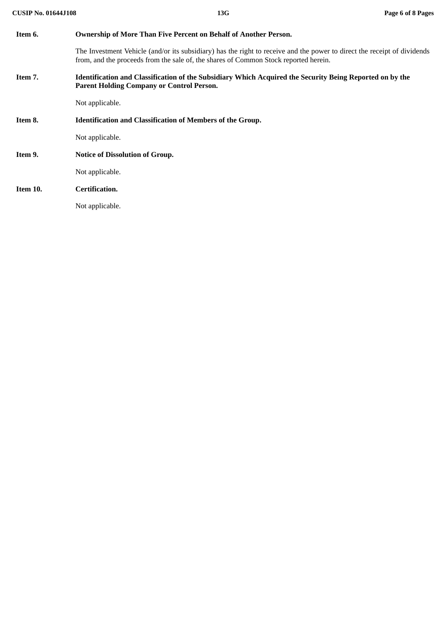| Item 6.  | <b>Ownership of More Than Five Percent on Behalf of Another Person.</b>                                                                                                                                          |  |  |  |
|----------|------------------------------------------------------------------------------------------------------------------------------------------------------------------------------------------------------------------|--|--|--|
|          | The Investment Vehicle (and/or its subsidiary) has the right to receive and the power to direct the receipt of dividends<br>from, and the proceeds from the sale of, the shares of Common Stock reported herein. |  |  |  |
| Item 7.  | Identification and Classification of the Subsidiary Which Acquired the Security Being Reported on by the<br><b>Parent Holding Company or Control Person.</b>                                                     |  |  |  |
|          | Not applicable.                                                                                                                                                                                                  |  |  |  |
| Item 8.  | <b>Identification and Classification of Members of the Group.</b>                                                                                                                                                |  |  |  |
|          | Not applicable.                                                                                                                                                                                                  |  |  |  |
| Item 9.  | <b>Notice of Dissolution of Group.</b>                                                                                                                                                                           |  |  |  |
|          | Not applicable.                                                                                                                                                                                                  |  |  |  |
| Item 10. | Certification.                                                                                                                                                                                                   |  |  |  |
|          | Not applicable.                                                                                                                                                                                                  |  |  |  |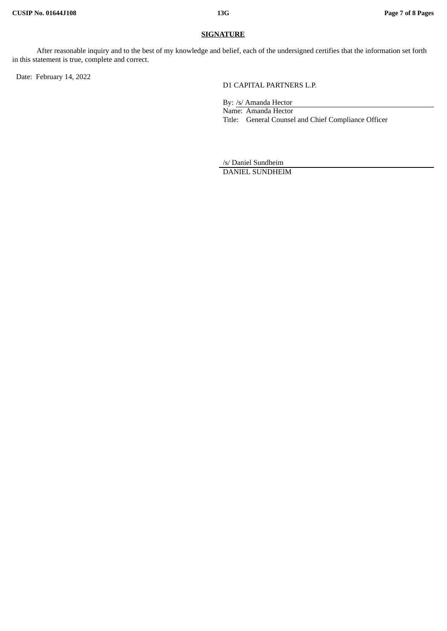# **SIGNATURE**

After reasonable inquiry and to the best of my knowledge and belief, each of the undersigned certifies that the information set forth in this statement is true, complete and correct.

Date: February 14, 2022

D1 CAPITAL PARTNERS L.P.

By: /s/ Amanda Hector Name: Amanda Hector Title: General Counsel and Chief Compliance Officer

/s/ Daniel Sundheim DANIEL SUNDHEIM